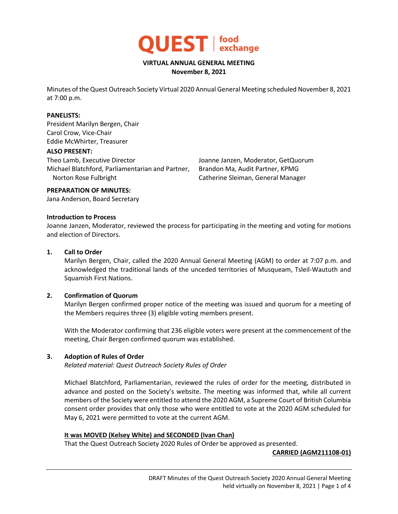

#### **VIRTUAL ANNUAL GENERAL MEETING November 8, 2021**

Minutes of the Quest Outreach Society Virtual 2020 Annual General Meeting scheduled November 8, 2021 at 7:00 p.m.

#### **PANELISTS:**

President Marilyn Bergen, Chair Carol Crow, Vice-Chair Eddie McWhirter, Treasurer

#### **ALSO PRESENT:**

Theo Lamb, Executive Director Michael Blatchford, Parliamentarian and Partner, Norton Rose Fulbright

Joanne Janzen, Moderator, GetQuorum Brandon Ma, Audit Partner, KPMG Catherine Sleiman, General Manager

#### **PREPARATION OF MINUTES:**

Jana Anderson, Board Secretary

#### **Introduction to Process**

Joanne Janzen, Moderator, reviewed the process for participating in the meeting and voting for motions and election of Directors.

#### **1. Call to Order**

Marilyn Bergen, Chair, called the 2020 Annual General Meeting (AGM) to order at 7:07 p.m. and acknowledged the traditional lands of the unceded territories of Musqueam, Tsleil-Waututh and Squamish First Nations.

## **2. Confirmation of Quorum**

Marilyn Bergen confirmed proper notice of the meeting was issued and quorum for a meeting of the Members requires three (3) eligible voting members present.

With the Moderator confirming that 236 eligible voters were present at the commencement of the meeting, Chair Bergen confirmed quorum was established.

## **3. Adoption of Rules of Order**

*Related material: Quest Outreach Society Rules of Order*

Michael Blatchford, Parliamentarian, reviewed the rules of order for the meeting, distributed in advance and posted on the Society's website. The meeting was informed that, while all current members of the Society were entitled to attend the 2020 AGM, a Supreme Court of British Columbia consent order provides that only those who were entitled to vote at the 2020 AGM scheduled for May 6, 2021 were permitted to vote at the current AGM.

## **It was MOVED (Kelsey White) and SECONDED (Ivan Chan)**

That the Quest Outreach Society 2020 Rules of Order be approved as presented.

## **CARRIED (AGM211108-01)**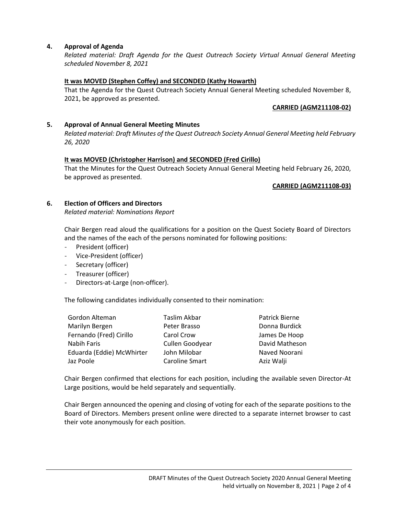## **4. Approval of Agenda**

*Related material: Draft Agenda for the Quest Outreach Society Virtual Annual General Meeting scheduled November 8, 2021*

## **It was MOVED (Stephen Coffey) and SECONDED (Kathy Howarth)**

That the Agenda for the Quest Outreach Society Annual General Meeting scheduled November 8, 2021, be approved as presented.

## **CARRIED (AGM211108-02)**

# **5. Approval of Annual General Meeting Minutes**

*Related material: Draft Minutes of the Quest Outreach Society Annual General Meeting held February 26, 2020*

## **It was MOVED (Christopher Harrison) and SECONDED (Fred Cirillo)**

That the Minutes for the Quest Outreach Society Annual General Meeting held February 26, 2020, be approved as presented.

#### **CARRIED (AGM211108-03)**

## **6. Election of Officers and Directors**

*Related material: Nominations Report*

Chair Bergen read aloud the qualifications for a position on the Quest Society Board of Directors and the names of the each of the persons nominated for following positions:

- President (officer)
- Vice-President (officer)
- Secretary (officer)
- Treasurer (officer)
- Directors-at-Large (non-officer).

The following candidates individually consented to their nomination:

| Gordon Alteman            | Taslim Akbar    | Patrick Bierne |
|---------------------------|-----------------|----------------|
| Marilyn Bergen            | Peter Brasso    | Donna Burdick  |
| Fernando (Fred) Cirillo   | Carol Crow      | James De Hoop  |
| Nabih Faris               | Cullen Goodyear | David Matheson |
| Eduarda (Eddie) McWhirter | John Milobar    | Naved Noorani  |
| Jaz Poole                 | Caroline Smart  | Aziz Walji     |

Chair Bergen confirmed that elections for each position, including the available seven Director-At Large positions, would be held separately and sequentially.

Chair Bergen announced the opening and closing of voting for each of the separate positions to the Board of Directors. Members present online were directed to a separate internet browser to cast their vote anonymously for each position.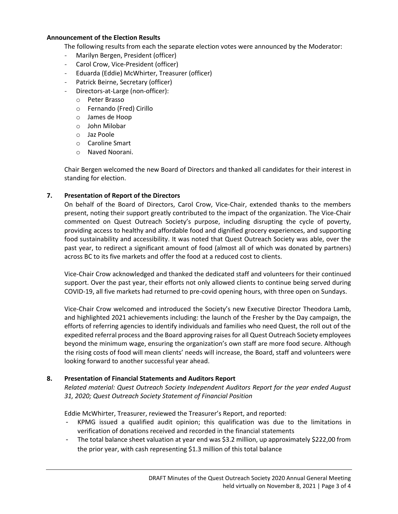#### **Announcement of the Election Results**

The following results from each the separate election votes were announced by the Moderator:

- Marilyn Bergen, President (officer)
- Carol Crow, Vice-President (officer)
- Eduarda (Eddie) McWhirter, Treasurer (officer)
- Patrick Beirne, Secretary (officer)
- Directors-at-Large (non-officer):
	- o Peter Brasso
	- o Fernando (Fred) Cirillo
	- o James de Hoop
	- o John Milobar
	- o Jaz Poole
	- o Caroline Smart
	- o Naved Noorani.

Chair Bergen welcomed the new Board of Directors and thanked all candidates for their interest in standing for election.

## **7. Presentation of Report of the Directors**

On behalf of the Board of Directors, Carol Crow, Vice-Chair, extended thanks to the members present, noting their support greatly contributed to the impact of the organization. The Vice-Chair commented on Quest Outreach Society's purpose, including disrupting the cycle of poverty, providing access to healthy and affordable food and dignified grocery experiences, and supporting food sustainability and accessibility. It was noted that Quest Outreach Society was able, over the past year, to redirect a significant amount of food (almost all of which was donated by partners) across BC to its five markets and offer the food at a reduced cost to clients.

Vice-Chair Crow acknowledged and thanked the dedicated staff and volunteers for their continued support. Over the past year, their efforts not only allowed clients to continue being served during COVID-19, all five markets had returned to pre-covid opening hours, with three open on Sundays.

Vice-Chair Crow welcomed and introduced the Society's new Executive Director Theodora Lamb, and highlighted 2021 achievements including: the launch of the Fresher by the Day campaign, the efforts of referring agencies to identify individuals and families who need Quest, the roll out of the expedited referral process and the Board approving raises for all Quest Outreach Society employees beyond the minimum wage, ensuring the organization's own staff are more food secure. Although the rising costs of food will mean clients' needs will increase, the Board, staff and volunteers were looking forward to another successful year ahead.

## **8. Presentation of Financial Statements and Auditors Report**

*Related material: Quest Outreach Society Independent Auditors Report for the year ended August 31, 2020; Quest Outreach Society Statement of Financial Position*

Eddie McWhirter, Treasurer, reviewed the Treasurer's Report, and reported:

- KPMG issued a qualified audit opinion; this qualification was due to the limitations in verification of donations received and recorded in the financial statements
- The total balance sheet valuation at year end was \$3.2 million, up approximately \$222,00 from the prior year, with cash representing \$1.3 million of this total balance